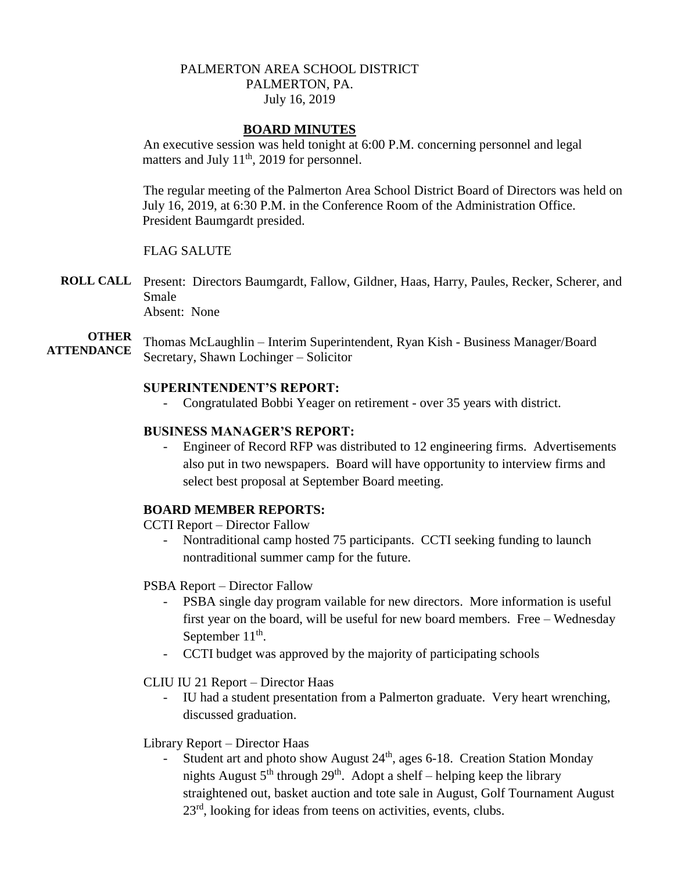# PALMERTON AREA SCHOOL DISTRICT PALMERTON, PA. July 16, 2019

## **BOARD MINUTES**

An executive session was held tonight at 6:00 P.M. concerning personnel and legal matters and July 11<sup>th</sup>, 2019 for personnel.

The regular meeting of the Palmerton Area School District Board of Directors was held on July 16, 2019, at 6:30 P.M. in the Conference Room of the Administration Office. President Baumgardt presided.

## FLAG SALUTE

**ROLL CALL** Present: Directors Baumgardt, Fallow, Gildner, Haas, Harry, Paules, Recker, Scherer, and Smale Absent: None

**OTHER ATTENDANCE** Thomas McLaughlin – Interim Superintendent, Ryan Kish - Business Manager/Board Secretary, Shawn Lochinger – Solicitor

## **SUPERINTENDENT'S REPORT:**

- Congratulated Bobbi Yeager on retirement - over 35 years with district.

# **BUSINESS MANAGER'S REPORT:**

- Engineer of Record RFP was distributed to 12 engineering firms. Advertisements also put in two newspapers. Board will have opportunity to interview firms and select best proposal at September Board meeting.

# **BOARD MEMBER REPORTS:**

CCTI Report – Director Fallow

- Nontraditional camp hosted 75 participants. CCTI seeking funding to launch nontraditional summer camp for the future.

PSBA Report – Director Fallow

- PSBA single day program vailable for new directors. More information is useful first year on the board, will be useful for new board members. Free – Wednesday September  $11<sup>th</sup>$ .
- CCTI budget was approved by the majority of participating schools

#### CLIU IU 21 Report – Director Haas

- IU had a student presentation from a Palmerton graduate. Very heart wrenching, discussed graduation.
- Library Report Director Haas
	- Student art and photo show August  $24<sup>th</sup>$ , ages 6-18. Creation Station Monday nights August  $5<sup>th</sup>$  through  $29<sup>th</sup>$ . Adopt a shelf – helping keep the library straightened out, basket auction and tote sale in August, Golf Tournament August 23<sup>rd</sup>, looking for ideas from teens on activities, events, clubs.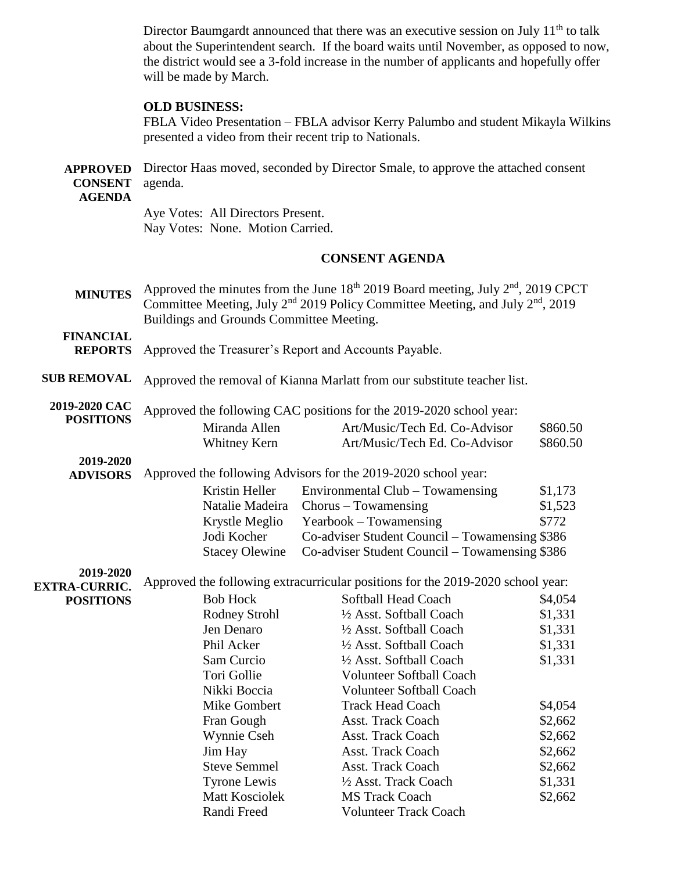Director Baumgardt announced that there was an executive session on July  $11<sup>th</sup>$  to talk about the Superintendent search. If the board waits until November, as opposed to now, the district would see a 3-fold increase in the number of applicants and hopefully offer will be made by March.

### **OLD BUSINESS:**

FBLA Video Presentation – FBLA advisor Kerry Palumbo and student Mikayla Wilkins presented a video from their recent trip to Nationals.

|                        | <b>APPROVED</b> Director Haas moved, seconded by Director Smale, to approve the attached consent |
|------------------------|--------------------------------------------------------------------------------------------------|
| <b>CONSENT</b> agenda. |                                                                                                  |
| <b>AGENDA</b>          |                                                                                                  |

Aye Votes: All Directors Present. Nay Votes: None. Motion Carried.

#### **CONSENT AGENDA**

**MINUTES** Approved the minutes from the June  $18<sup>th</sup> 2019$  Board meeting, July  $2<sup>nd</sup>$ , 2019 CPCT Committee Meeting, July  $2<sup>nd</sup>$  2019 Policy Committee Meeting, and July  $2<sup>nd</sup>$ , 2019 Buildings and Grounds Committee Meeting.

**FINANCIAL** 

- **REPORTS** Approved the Treasurer's Report and Accounts Payable.
- **SUB REMOVAL** Approved the removal of Kianna Marlatt from our substitute teacher list.
- **2019-2020 CAC POSITIONS**  Approved the following CAC positions for the 2019-2020 school year: Miranda Allen Art/Music/Tech Ed. Co-Advisor \$860.50 Whitney Kern Art/Music/Tech Ed. Co-Advisor \$860.50

**2019-2020** 

**ADVISORS**  Approved the following Advisors for the 2019-2020 school year: Kristin Heller – Environmental Club – Towamensing  $$1,173$ 

| INISUII HEIIEI | $\text{EUVI}$ underlinearly $\text{C}$ to $\text{CUV}$ and $\text{CUV}$ | 01, 11  |
|----------------|-------------------------------------------------------------------------|---------|
|                | Natalie Madeira Chorus – Towamensing                                    | \$1,523 |
| Krystle Meglio | $Yearbook - Towamensing$                                                | \$772   |
| Jodi Kocher    | Co-adviser Student Council – Towamensing \$386                          |         |
|                | Stacey Olewine Co-adviser Student Council – Towamensing \$386           |         |
|                |                                                                         |         |

**2019-2020 EXTRA-CURRIC.** 

**POSITIONS** 

|                       | Approved the following extracurricular positions for the 2019-2020 school year: |         |
|-----------------------|---------------------------------------------------------------------------------|---------|
| <b>Bob Hock</b>       | Softball Head Coach                                                             | \$4,054 |
| Rodney Strohl         | 1/2 Asst. Softball Coach                                                        | \$1,331 |
| Jen Denaro            | 1/2 Asst. Softball Coach                                                        | \$1,331 |
| Phil Acker            | 1/2 Asst. Softball Coach                                                        | \$1,331 |
| Sam Curcio            | 1/2 Asst. Softball Coach                                                        | \$1,331 |
| Tori Gollie           | <b>Volunteer Softball Coach</b>                                                 |         |
| Nikki Boccia          | <b>Volunteer Softball Coach</b>                                                 |         |
| Mike Gombert          | <b>Track Head Coach</b>                                                         | \$4,054 |
| Fran Gough            | Asst. Track Coach                                                               | \$2,662 |
| Wynnie Cseh           | <b>Asst. Track Coach</b>                                                        | \$2,662 |
| Jim Hay               | Asst. Track Coach                                                               | \$2,662 |
| <b>Steve Semmel</b>   | <b>Asst. Track Coach</b>                                                        | \$2,662 |
| <b>Tyrone Lewis</b>   | 1/2 Asst. Track Coach                                                           | \$1,331 |
| <b>Matt Kosciolek</b> | <b>MS</b> Track Coach                                                           | \$2,662 |
| Randi Freed           | <b>Volunteer Track Coach</b>                                                    |         |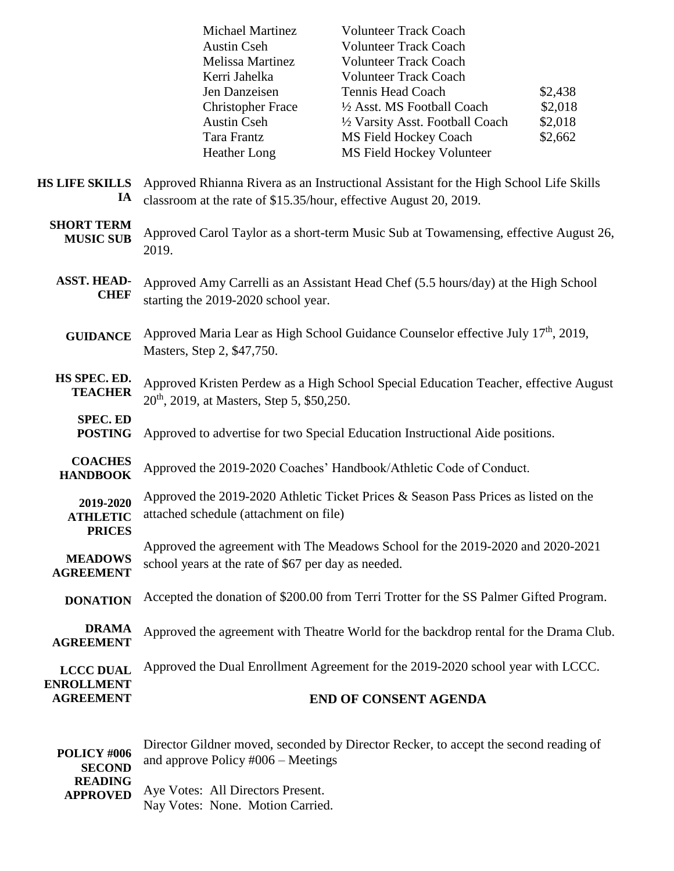|                                               | <b>Michael Martinez</b><br><b>Austin Cseh</b><br><b>Melissa Martinez</b><br>Kerri Jahelka                                                                  | <b>Volunteer Track Coach</b><br><b>Volunteer Track Coach</b><br><b>Volunteer Track Coach</b><br><b>Volunteer Track Coach</b> |                    |
|-----------------------------------------------|------------------------------------------------------------------------------------------------------------------------------------------------------------|------------------------------------------------------------------------------------------------------------------------------|--------------------|
|                                               | Jen Danzeisen                                                                                                                                              | <b>Tennis Head Coach</b><br>1/2 Asst. MS Football Coach                                                                      | \$2,438<br>\$2,018 |
|                                               | <b>Christopher Frace</b><br><b>Austin Cseh</b>                                                                                                             | 1/2 Varsity Asst. Football Coach                                                                                             | \$2,018            |
|                                               | Tara Frantz                                                                                                                                                | <b>MS Field Hockey Coach</b>                                                                                                 | \$2,662            |
|                                               | <b>Heather Long</b>                                                                                                                                        | MS Field Hockey Volunteer                                                                                                    |                    |
| <b>HS LIFE SKILLS</b><br>IA                   | Approved Rhianna Rivera as an Instructional Assistant for the High School Life Skills<br>classroom at the rate of \$15.35/hour, effective August 20, 2019. |                                                                                                                              |                    |
| <b>SHORT TERM</b><br><b>MUSIC SUB</b>         | Approved Carol Taylor as a short-term Music Sub at Towamensing, effective August 26,<br>2019.                                                              |                                                                                                                              |                    |
| <b>ASST. HEAD-</b><br><b>CHEF</b>             | Approved Amy Carrelli as an Assistant Head Chef (5.5 hours/day) at the High School<br>starting the 2019-2020 school year.                                  |                                                                                                                              |                    |
| <b>GUIDANCE</b>                               | Approved Maria Lear as High School Guidance Counselor effective July 17 <sup>th</sup> , 2019,<br>Masters, Step 2, \$47,750.                                |                                                                                                                              |                    |
| HS SPEC. ED.<br><b>TEACHER</b>                | Approved Kristen Perdew as a High School Special Education Teacher, effective August<br>20 <sup>th</sup> , 2019, at Masters, Step 5, \$50,250.             |                                                                                                                              |                    |
| <b>SPEC. ED</b><br><b>POSTING</b>             | Approved to advertise for two Special Education Instructional Aide positions.                                                                              |                                                                                                                              |                    |
| <b>COACHES</b><br><b>HANDBOOK</b>             | Approved the 2019-2020 Coaches' Handbook/Athletic Code of Conduct.                                                                                         |                                                                                                                              |                    |
| 2019-2020<br><b>ATHLETIC</b><br><b>PRICES</b> | Approved the 2019-2020 Athletic Ticket Prices & Season Pass Prices as listed on the<br>attached schedule (attachment on file)                              |                                                                                                                              |                    |
| <b>MEADOWS</b><br><b>AGREEMENT</b>            | Approved the agreement with The Meadows School for the 2019-2020 and 2020-2021<br>school years at the rate of \$67 per day as needed.                      |                                                                                                                              |                    |
| <b>DONATION</b>                               | Accepted the donation of \$200.00 from Terri Trotter for the SS Palmer Gifted Program.                                                                     |                                                                                                                              |                    |
| <b>DRAMA</b><br><b>AGREEMENT</b>              |                                                                                                                                                            | Approved the agreement with Theatre World for the backdrop rental for the Drama Club.                                        |                    |
| <b>LCCC DUAL</b><br><b>ENROLLMENT</b>         |                                                                                                                                                            | Approved the Dual Enrollment Agreement for the 2019-2020 school year with LCCC.                                              |                    |
| <b>AGREEMENT</b>                              |                                                                                                                                                            | <b>END OF CONSENT AGENDA</b>                                                                                                 |                    |
|                                               |                                                                                                                                                            |                                                                                                                              |                    |

 $\overline{\mathbf{H}}$ 

| POLICY #006     | Director Gildner moved, seconded by Director Recker, to accept the second reading of |
|-----------------|--------------------------------------------------------------------------------------|
|                 | and approve Policy $\text{\#006} - \text{Meetings}$                                  |
| <b>SECOND</b>   |                                                                                      |
| <b>READING</b>  |                                                                                      |
| <b>APPROVED</b> | Aye Votes: All Directors Present.                                                    |
|                 | Nay Votes: None. Motion Carried.                                                     |